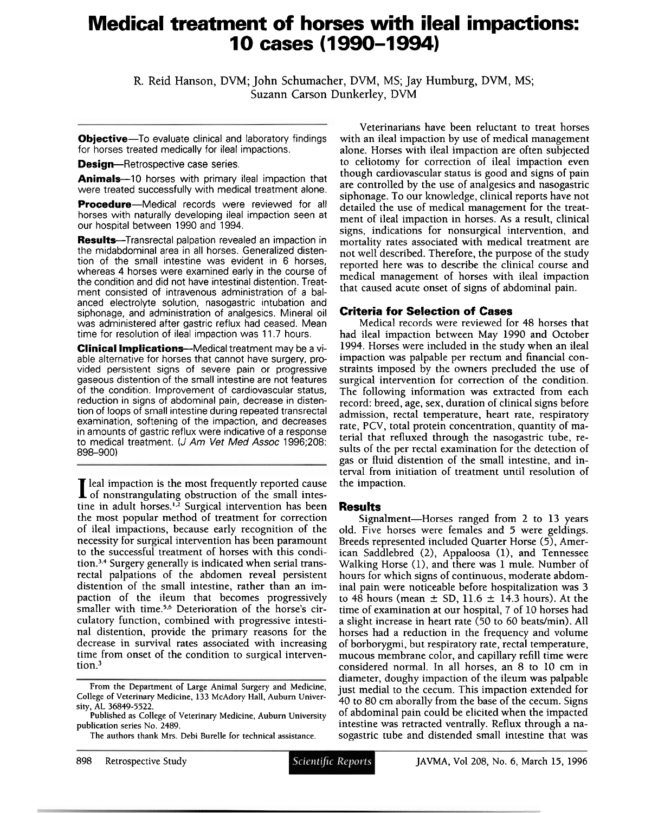# **Medical treatment of horses with ileal impactions: 1 0 cases (1 990-1 994)**

**R. Reid Hanson, DVM; John Schumacher, DVM, MS; Jay Humburg, DVM, MS; Suzann Carson Dunkerley, DVM** 

**Objective-**To evaluate clinical and laboratory findings for horses treated medically for ileal impactions.

**Design--Retrospective case series.** 

Animals-10 horses with primary ileal impaction that were treated successfully with medical treatment alone.

**Procedure--Medical records were reviewed for all** horses with naturally developing ileal impaction seen at our hospital between 1990 and 1994.

Results-Transrectal palpation revealed an impaction in the midabdominal area in all horses. Generalized distention of the small intestine was evident in 6 horses, whereas 4 horses were examined early in the course of the condition and did not have intestinal distention. Treatment consisted of intravenous administration of a balanced electrolyte solution, nasogastric intubation and siphonage, and administration of analgesics. Mineral oil was administered after gastric reflux had ceased. Mean time for resolution of ileal impaction was 11.7 hours.

**Clinical Implications--**Medical treatment may be a viable alternative for horses that cannot have surgery, provided persistent signs of severe pain or progressive gaseous distention of the small intestine are not features of the condition. Improvement of cardiovascular status, reduction in signs of abdominal pain, decrease in distention of loops of small intestine during repeated transrectal examination, softening of the impaction, and decreases in amounts of gastric reflux were indicative of a response to medical treatment. (J Am Vet Med Assoc 1996;208: 898-900)

I leal impaction is the most frequently reported cause of nonstrangulating obstruction of the small intestine in adult horses.<sup>1,2</sup> Surgical intervention has been the most popular method of treatment for correction of ileal impactions, because early recognition of the necessity for surgical intervention has been paramount to the successful treatment of horses with this condition.<sup>3,4</sup> Surgery generally is indicated when serial transrectal palpations of the abdomen reveal persistent distention of the small intestine, rather than an impaction of the ileum that becomes progressively smaller with time.<sup>5,6</sup> Deterioration of the horse's circulatory function, combined with progressive intestinal distention, provide the primary reasons for the decrease in survival rates associated with increasing time from onset of the condition to surgical intervention. $3$ 

Veterinarians have been reluctant to treat horses with an ileal impaction by use of medical management alone. Horses with ileal impaction are often subjected to celiotomy for correction of ileal impaction even though cardiovascular status is good and signs of pain are controlled by the use of analgesics and nasogastric siphonage. To our knowledge, clinical reports have not detailed the use of medical management for the treatment of ileal impaction in horses. As a result, clinical signs, indications for nonsurgical intervention, and mortality rates associated with medical treatment are not well described. Therefore, the purpose of the study reported here was to describe the clinical course and medical management of horses with ileal impaction that caused acute onset of signs of abdominal pain.

#### **Criteria for Selection of Cases**

Medical records were reviewed for 48 horses that had ileal impaction between May 1990 and October 1994. Horses were included in the study when an ileal impaction was palpable per rectum and financial constraints imposed by the owners precluded the use of surgical intervention for correction of the condition. The following information was extracted from each record: breed, age, sex, duration of clinical signs before admission, rectal temperature, heart rate, respiratory rate, PCV, total protein concentration, quantity of material that refluxed through the nasogastric tube, results of the per rectal examination for the detection of gas or fluid distention of the small intestine, and interval from initiation of treatment until resolution of the impaction.

#### **Results**

Signalment-Horses ranged from 2 to **13** years old. Five horses were females and 5 were geldings. Breeds represented included Quarter Horse (5), American Saddlebred (2), Appaloosa (l), and Tennessee Walking Horse (l), and there was 1 mule. Number of hours for which signs of continuous, moderate abdominal pain were noticeable before hospitalization was **3**  to 48 hours (mean  $\pm$  SD, 11.6  $\pm$  14.3 hours). At the time of examination at our hospital, 7 of 10 horses had a slight increase in heart rate (50 to 60 beats/min). All horses had a reduction in the frequency and volume of borborygmi, but respiratory rate, rectal temperature, mucous membrane color, and capillary refill time were considered normal. In all horses, an 8 to 10 cm in diameter, doughy impaction of the ileum was palpable just medial to the cecum. This impaction extended for 40 to 80 cm aborally from the base of the cecum. Signs of abdominal pain could be elicited when the impacted intestine was retracted ventrally. Reflux through a nasogastric tube and distended small intestine that was

**From the Department of Large Animal Surgery and Medicine, College of Veterinary Medicine, 133 McAdory Hall, Auburn University, AL 36849-5522.** 

**Published as College of Veterinary Medicine, Auburn University publication series No. 2489.** 

**The authors thank Mrs. Debi Burelle for technical assistance.**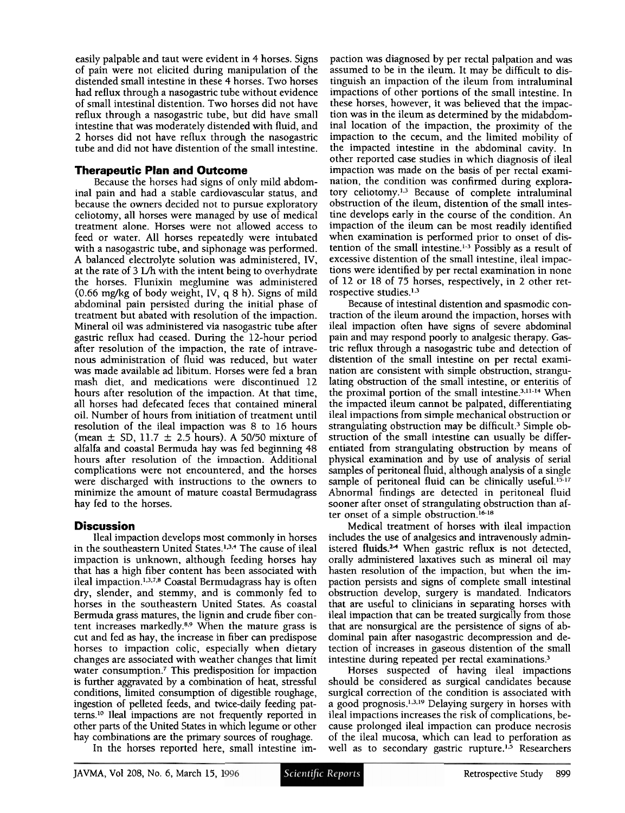easily palpable and taut were evident in 4 horses. Signs of pain were not elicited during manipulation of the distended small intestine in these 4 horses. Two horses had reflux through a nasogastric tube without evidence of small intestinal distention. Two horses did not have reflux through a nasogastric tube, but did have small intestine that was moderately distended with fluid, and 2 horses did not have reflux through the nasogastric tube and did not have distention of the small intestine.

## **Therapeutic Plan and Outcome**

Because the horses had signs of only mild abdominal pain and had a stable cardiovascular status, and because the owners decided not to pursue exploratory celiotomy, all horses were managed by use of medical treatment alone. Horses were not allowed access to feed or water. All horses repeatedly were intubated with a nasogastric tube, and siphonage was performed. A balanced electrolyte solution was administered, IV, at the rate of **3** L/h with the intent being to overhydrate the horses. Flunixin meglumine was administered  $(0.66 \text{ mg/kg of body weight}, IV, q 8 h)$ . Signs of mild abdominal pain persisted during the initial phase of treatment but abated with resolution of the impaction. Mineral oil was administered via nasogastric tube after gastric reflux had ceased. During the 12-hour period after resolution of the impaction, the rate of intravenous administration of fluid was reduced, but water was made available ad libitum. Horses were fed a bran mash diet, and medications were discontinued 12 hours after resolution of the impaction. At that time, all horses had defecated feces that contained mineral oil. Number of hours from initiation of treatment until resolution of the ileal impaction was 8 to 16 hours (mean  $\pm$  SD, 11.7  $\pm$  2.5 hours). A 50/50 mixture of alfalfa and coastal Bermuda hay was fed beginning 48 hours after resolution of the impaction. Additional complications were not encountered, and the horses were discharged with instructions to the owners to minimize the amount of mature coastal Bermudagrass hay fed to the horses.

## **Discussion**

Ileal impaction develops most commonly in horses in the southeastern United States.<sup>1,3,4</sup> The cause of ileal impaction is unknown, although feeding horses hay that has a high fiber content has been associated with ileal impaction.<sup>1,3,7,8</sup> Coastal Bermudagrass hay is often dry, slender, and stemmy, and is commonly fed to horses in the southeastern United States. As coastal Bermuda grass matures, the lignin and crude fiber content increases markedly. $8.9$  When the mature grass is cut and fed as hay, the increase in fiber can predispose horses to impaction colic, especially when dietary changes are associated with weather changes that limit water consumption.<sup> $7$ </sup> This predisposition for impaction is further aggravated by a combination of heat, stressful conditions, limited consumption of digestible roughage, ingestion of peUeted feeds, and twice-daily feeding patterns.1° Ileal impactions are not frequently reported in other parts of the United States in which legume or other hay combinations are the primary sources of roughage. In the horses reported here, small intestine im-

paction was diagnosed by per rectal palpation and was assumed to be in the ileum. It may be difficult to distinguish an impaction of the ileum from intraluminal impactions of other portions of the small intestine. In these horses, however, it was believed that the impaction was in the ileum as determined by the midabdominal location of the impaction, the proximity of the impaction to the cecum, and the limited mobility of the impacted intestine in the abdominal cavity. In other reported case studies in which diagnosis of ileal impaction was made on the basis of per rectal examination, the condition was confirmed during exploratory celiotomy.<sup>1,3</sup> Because of complete intraluminal obstruction of the ileum, distention of the small intestine develops early in the course of the condition. An impaction of the ileum can be most readily identified when examination is performed prior to onset of distention of the small intestine.<sup>1-3</sup> Possibly as a result of excessive distention of the small intestine, ileal impactions were identified by per rectal examination in none of 12 or 18 of 75 horses, respectively, in 2 other retrospective studies. $1,3$ 

Because of intestinal distention and spasmodic contraction of the ileum around the impaction, horses with ileal impaction often have signs of severe abdominal pain and may respond poorly to analgesic therapy. Gastric reflux through a nasogastric tube and detection of distention of the small intestine on per rectal examination are consistent with simple obstruction, strangulating obstruction of the small intestine, or enteritis of the proximal portion of the small intestine.<sup>3,11-14</sup> When the impacted ileum cannot be palpated, differentiating ileal impactions from simple mechanical obstruction or strangulating obstruction may be difficult.<sup>3</sup> Simple obstruction of the small intestine can usually be differentiated from strangulating obstruction by means of physical examination and by use of analysis of serial samples of peritoneal fluid, although analysis of a single sample of peritoneal fluid can be clinically useful.<sup>15-17</sup> Abnormal findings are detected in peritoneal fluid sooner after onset of strangulating obstruction than after onset of a simple obstruction.<sup>16-18</sup>

Medical treatment of horses with ileal impaction includes the use of analgesics and intravenously administered fluids.<sup>24</sup> When gastric reflux is not detected, orally administered laxatives such as mineral oil may hasten resolution of the impaction, but when the impaction persists and signs of complete small intestinal obstruction develop, surgery is mandated. Indicators that are useful to clinicians in separating horses with ileal impaction that can be treated surgically from those that are nonsurgical are the persistence of signs of abdominal pain after nasogastric decompression and detection of increases in gaseous distention of the small intestine during repeated per rectal examinations?

Horses suspected of having ileal impactions should be considered as surgical candidates because surgical correction of the condition is associated with a good prognosis.<sup>1,3,19</sup> Delaying surgery in horses with ileal impactions increases the risk of complications, because prolonged ileal impaction can produce necrosis of the ileal mucosa, which can lead to perforation as well as to secondary gastric rupture.<sup>1,5</sup> Researchers